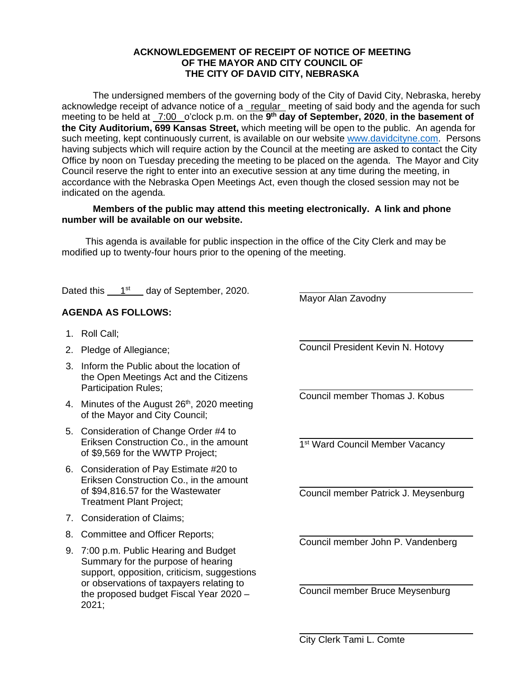## **ACKNOWLEDGEMENT OF RECEIPT OF NOTICE OF MEETING OF THE MAYOR AND CITY COUNCIL OF THE CITY OF DAVID CITY, NEBRASKA**

The undersigned members of the governing body of the City of David City, Nebraska, hereby acknowledge receipt of advance notice of a regular meeting of said body and the agenda for such meeting to be held at \_7:00 \_o'clock p.m. on the 9<sup>th</sup> day of September, 2020, in the basement of **the City Auditorium, 699 Kansas Street,** which meeting will be open to the public. An agenda for such meeting, kept continuously current, is available on our website [www.davidcityne.com.](https://urldefense.proofpoint.com/v2/url?u=http-3A__www.davidcityne.com&d=DwMFAg&c=UCja3IwhyjPGYeHcG7oIbg&r=sTF4AptKcZUvAdPZH__AgXD7wYT5PTsm1dL8p3vwYO4&m=H_1JksRqSJf69XA0HV8uDjtaNsM1PhWMo-DkTNHrSaE&s=wLyFni_YrhiWLHduEQzSflZL77e5AtnnCpVJ-weajcE&e=) Persons having subjects which will require action by the Council at the meeting are asked to contact the City Office by noon on Tuesday preceding the meeting to be placed on the agenda. The Mayor and City Council reserve the right to enter into an executive session at any time during the meeting, in accordance with the Nebraska Open Meetings Act, even though the closed session may not be indicated on the agenda.

## **Members of the public may attend this meeting electronically. A link and phone number will be available on our website.**

This agenda is available for public inspection in the office of the City Clerk and may be modified up to twenty-four hours prior to the opening of the meeting.

 $\overline{a}$ 

 $\overline{a}$ 

 $\overline{a}$ 

 $\overline{a}$ 

 $\overline{a}$ 

 $\overline{a}$ 

 $\overline{a}$ 

Dated this  $1<sup>st</sup>$  day of September, 2020.

## **AGENDA AS FOLLOWS:**

- 1. Roll Call;
- 2. Pledge of Allegiance;
- 3. Inform the Public about the location of the Open Meetings Act and the Citizens Participation Rules;
- 4. Minutes of the August 26<sup>th</sup>, 2020 meeting of the Mayor and City Council;
- 5. Consideration of Change Order #4 to Eriksen Construction Co., in the amount of \$9,569 for the WWTP Project;
- 6. Consideration of Pay Estimate #20 to Eriksen Construction Co., in the amount of \$94,816.57 for the Wastewater Treatment Plant Project;
- 7. Consideration of Claims;
- 8. Committee and Officer Reports;
- 9. 7:00 p.m. Public Hearing and Budget Summary for the purpose of hearing support, opposition, criticism, suggestions or observations of taxpayers relating to the proposed budget Fiscal Year 2020 – 2021;

 $\overline{a}$ Council President Kevin N. Hotovy

Mayor Alan Zavodny

Council member Thomas J. Kobus

1<sup>st</sup> Ward Council Member Vacancy

Council member Patrick J. Meysenburg

Council member John P. Vandenberg

Council member Bruce Meysenburg

City Clerk Tami L. Comte